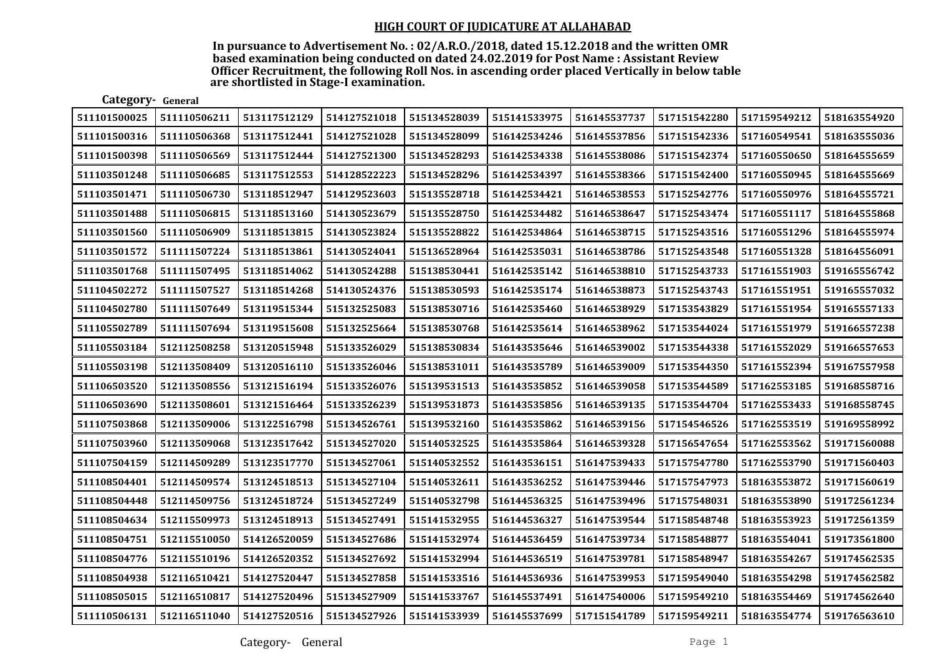| Category- General |              |              |              |              |              |              |              |              |              |
|-------------------|--------------|--------------|--------------|--------------|--------------|--------------|--------------|--------------|--------------|
| 511101500025      | 511110506211 | 513117512129 | 514127521018 | 515134528039 | 515141533975 | 516145537737 | 517151542280 | 517159549212 | 518163554920 |
| 511101500316      | 511110506368 | 513117512441 | 514127521028 | 515134528099 | 516142534246 | 516145537856 | 517151542336 | 517160549541 | 518163555036 |
| 511101500398      | 511110506569 | 513117512444 | 514127521300 | 515134528293 | 516142534338 | 516145538086 | 517151542374 | 517160550650 | 518164555659 |
| 511103501248      | 511110506685 | 513117512553 | 514128522223 | 515134528296 | 516142534397 | 516145538366 | 517151542400 | 517160550945 | 518164555669 |
| 511103501471      | 511110506730 | 513118512947 | 514129523603 | 515135528718 | 516142534421 | 516146538553 | 517152542776 | 517160550976 | 518164555721 |
| 511103501488      | 511110506815 | 513118513160 | 514130523679 | 515135528750 | 516142534482 | 516146538647 | 517152543474 | 517160551117 | 518164555868 |
| 511103501560      | 511110506909 | 513118513815 | 514130523824 | 515135528822 | 516142534864 | 516146538715 | 517152543516 | 517160551296 | 518164555974 |
| 511103501572      | 511111507224 | 513118513861 | 514130524041 | 515136528964 | 516142535031 | 516146538786 | 517152543548 | 517160551328 | 518164556091 |
| 511103501768      | 511111507495 | 513118514062 | 514130524288 | 515138530441 | 516142535142 | 516146538810 | 517152543733 | 517161551903 | 519165556742 |
| 511104502272      | 511111507527 | 513118514268 | 514130524376 | 515138530593 | 516142535174 | 516146538873 | 517152543743 | 517161551951 | 519165557032 |
| 511104502780      | 511111507649 | 513119515344 | 515132525083 | 515138530716 | 516142535460 | 516146538929 | 517153543829 | 517161551954 | 519165557133 |
| 511105502789      | 511111507694 | 513119515608 | 515132525664 | 515138530768 | 516142535614 | 516146538962 | 517153544024 | 517161551979 | 519166557238 |
| 511105503184      | 512112508258 | 513120515948 | 515133526029 | 515138530834 | 516143535646 | 516146539002 | 517153544338 | 517161552029 | 519166557653 |
| 511105503198      | 512113508409 | 513120516110 | 515133526046 | 515138531011 | 516143535789 | 516146539009 | 517153544350 | 517161552394 | 519167557958 |
| 511106503520      | 512113508556 | 513121516194 | 515133526076 | 515139531513 | 516143535852 | 516146539058 | 517153544589 | 517162553185 | 519168558716 |
| 511106503690      | 512113508601 | 513121516464 | 515133526239 | 515139531873 | 516143535856 | 516146539135 | 517153544704 | 517162553433 | 519168558745 |
| 511107503868      | 512113509006 | 513122516798 | 515134526761 | 515139532160 | 516143535862 | 516146539156 | 517154546526 | 517162553519 | 519169558992 |
| 511107503960      | 512113509068 | 513123517642 | 515134527020 | 515140532525 | 516143535864 | 516146539328 | 517156547654 | 517162553562 | 519171560088 |
| 511107504159      | 512114509289 | 513123517770 | 515134527061 | 515140532552 | 516143536151 | 516147539433 | 517157547780 | 517162553790 | 519171560403 |
| 511108504401      | 512114509574 | 513124518513 | 515134527104 | 515140532611 | 516143536252 | 516147539446 | 517157547973 | 518163553872 | 519171560619 |
| 511108504448      | 512114509756 | 513124518724 | 515134527249 | 515140532798 | 516144536325 | 516147539496 | 517157548031 | 518163553890 | 519172561234 |
| 511108504634      | 512115509973 | 513124518913 | 515134527491 | 515141532955 | 516144536327 | 516147539544 | 517158548748 | 518163553923 | 519172561359 |
| 511108504751      | 512115510050 | 514126520059 | 515134527686 | 515141532974 | 516144536459 | 516147539734 | 517158548877 | 518163554041 | 519173561800 |
| 511108504776      | 512115510196 | 514126520352 | 515134527692 | 515141532994 | 516144536519 | 516147539781 | 517158548947 | 518163554267 | 519174562535 |
| 511108504938      | 512116510421 | 514127520447 | 515134527858 | 515141533516 | 516144536936 | 516147539953 | 517159549040 | 518163554298 | 519174562582 |
| 511108505015      | 512116510817 | 514127520496 | 515134527909 | 515141533767 | 516145537491 | 516147540006 | 517159549210 | 518163554469 | 519174562640 |
| 511110506131      | 512116511040 | 514127520516 | 515134527926 | 515141533939 | 516145537699 | 517151541789 | 517159549211 | 518163554774 | 519176563610 |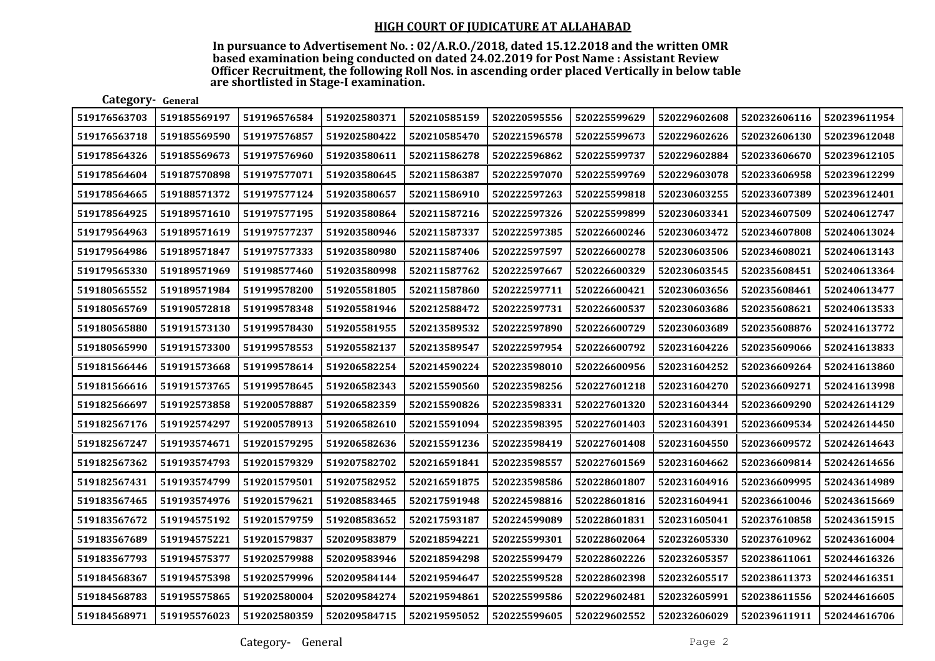| Category- General |              |              |              |              |              |              |              |              |              |
|-------------------|--------------|--------------|--------------|--------------|--------------|--------------|--------------|--------------|--------------|
| 519176563703      | 519185569197 | 519196576584 | 519202580371 | 520210585159 | 520220595556 | 520225599629 | 520229602608 | 520232606116 | 520239611954 |
| 519176563718      | 519185569590 | 519197576857 | 519202580422 | 520210585470 | 520221596578 | 520225599673 | 520229602626 | 520232606130 | 520239612048 |
| 519178564326      | 519185569673 | 519197576960 | 519203580611 | 520211586278 | 520222596862 | 520225599737 | 520229602884 | 520233606670 | 520239612105 |
| 519178564604      | 519187570898 | 519197577071 | 519203580645 | 520211586387 | 520222597070 | 520225599769 | 520229603078 | 520233606958 | 520239612299 |
| 519178564665      | 519188571372 | 519197577124 | 519203580657 | 520211586910 | 520222597263 | 520225599818 | 520230603255 | 520233607389 | 520239612401 |
| 519178564925      | 519189571610 | 519197577195 | 519203580864 | 520211587216 | 520222597326 | 520225599899 | 520230603341 | 520234607509 | 520240612747 |
| 519179564963      | 519189571619 | 519197577237 | 519203580946 | 520211587337 | 520222597385 | 520226600246 | 520230603472 | 520234607808 | 520240613024 |
| 519179564986      | 519189571847 | 519197577333 | 519203580980 | 520211587406 | 520222597597 | 520226600278 | 520230603506 | 520234608021 | 520240613143 |
| 519179565330      | 519189571969 | 519198577460 | 519203580998 | 520211587762 | 520222597667 | 520226600329 | 520230603545 | 520235608451 | 520240613364 |
| 519180565552      | 519189571984 | 519199578200 | 519205581805 | 520211587860 | 520222597711 | 520226600421 | 520230603656 | 520235608461 | 520240613477 |
| 519180565769      | 519190572818 | 519199578348 | 519205581946 | 520212588472 | 520222597731 | 520226600537 | 520230603686 | 520235608621 | 520240613533 |
| 519180565880      | 519191573130 | 519199578430 | 519205581955 | 520213589532 | 520222597890 | 520226600729 | 520230603689 | 520235608876 | 520241613772 |
| 519180565990      | 519191573300 | 519199578553 | 519205582137 | 520213589547 | 520222597954 | 520226600792 | 520231604226 | 520235609066 | 520241613833 |
| 519181566446      | 519191573668 | 519199578614 | 519206582254 | 520214590224 | 520223598010 | 520226600956 | 520231604252 | 520236609264 | 520241613860 |
| 519181566616      | 519191573765 | 519199578645 | 519206582343 | 520215590560 | 520223598256 | 520227601218 | 520231604270 | 520236609271 | 520241613998 |
| 519182566697      | 519192573858 | 519200578887 | 519206582359 | 520215590826 | 520223598331 | 520227601320 | 520231604344 | 520236609290 | 520242614129 |
| 519182567176      | 519192574297 | 519200578913 | 519206582610 | 520215591094 | 520223598395 | 520227601403 | 520231604391 | 520236609534 | 520242614450 |
| 519182567247      | 519193574671 | 519201579295 | 519206582636 | 520215591236 | 520223598419 | 520227601408 | 520231604550 | 520236609572 | 520242614643 |
| 519182567362      | 519193574793 | 519201579329 | 519207582702 | 520216591841 | 520223598557 | 520227601569 | 520231604662 | 520236609814 | 520242614656 |
| 519182567431      | 519193574799 | 519201579501 | 519207582952 | 520216591875 | 520223598586 | 520228601807 | 520231604916 | 520236609995 | 520243614989 |
| 519183567465      | 519193574976 | 519201579621 | 519208583465 | 520217591948 | 520224598816 | 520228601816 | 520231604941 | 520236610046 | 520243615669 |
| 519183567672      | 519194575192 | 519201579759 | 519208583652 | 520217593187 | 520224599089 | 520228601831 | 520231605041 | 520237610858 | 520243615915 |
| 519183567689      | 519194575221 | 519201579837 | 520209583879 | 520218594221 | 520225599301 | 520228602064 | 520232605330 | 520237610962 | 520243616004 |
| 519183567793      | 519194575377 | 519202579988 | 520209583946 | 520218594298 | 520225599479 | 520228602226 | 520232605357 | 520238611061 | 520244616326 |
| 519184568367      | 519194575398 | 519202579996 | 520209584144 | 520219594647 | 520225599528 | 520228602398 | 520232605517 | 520238611373 | 520244616351 |
| 519184568783      | 519195575865 | 519202580004 | 520209584274 | 520219594861 | 520225599586 | 520229602481 | 520232605991 | 520238611556 | 520244616605 |
| 519184568971      | 519195576023 | 519202580359 | 520209584715 | 520219595052 | 520225599605 | 520229602552 | 520232606029 | 520239611911 | 520244616706 |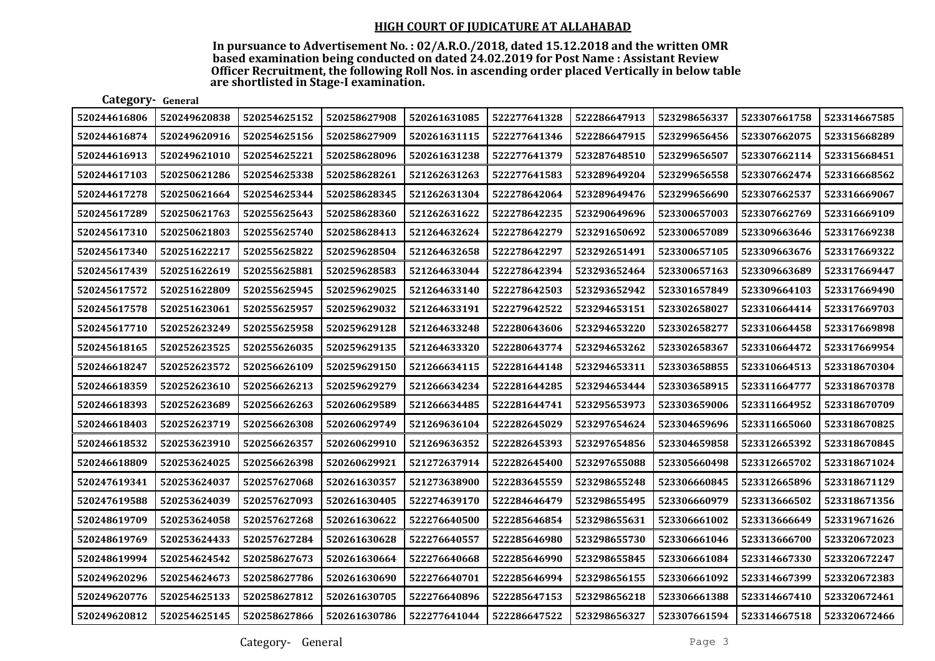| Category- General |              |              |              |              |              |              |              |              |              |
|-------------------|--------------|--------------|--------------|--------------|--------------|--------------|--------------|--------------|--------------|
| 520244616806      | 520249620838 | 520254625152 | 520258627908 | 520261631085 | 522277641328 | 522286647913 | 523298656337 | 523307661758 | 523314667585 |
| 520244616874      | 520249620916 | 520254625156 | 520258627909 | 520261631115 | 522277641346 | 522286647915 | 523299656456 | 523307662075 | 523315668289 |
| 520244616913      | 520249621010 | 520254625221 | 520258628096 | 520261631238 | 522277641379 | 523287648510 | 523299656507 | 523307662114 | 523315668451 |
| 520244617103      | 520250621286 | 520254625338 | 520258628261 | 521262631263 | 522277641583 | 523289649204 | 523299656558 | 523307662474 | 523316668562 |
| 520244617278      | 520250621664 | 520254625344 | 520258628345 | 521262631304 | 522278642064 | 523289649476 | 523299656690 | 523307662537 | 523316669067 |
| 520245617289      | 520250621763 | 520255625643 | 520258628360 | 521262631622 | 522278642235 | 523290649696 | 523300657003 | 523307662769 | 523316669109 |
| 520245617310      | 520250621803 | 520255625740 | 520258628413 | 521264632624 | 522278642279 | 523291650692 | 523300657089 | 523309663646 | 523317669238 |
| 520245617340      | 520251622217 | 520255625822 | 520259628504 | 521264632658 | 522278642297 | 523292651491 | 523300657105 | 523309663676 | 523317669322 |
| 520245617439      | 520251622619 | 520255625881 | 520259628583 | 521264633044 | 522278642394 | 523293652464 | 523300657163 | 523309663689 | 523317669447 |
| 520245617572      | 520251622809 | 520255625945 | 520259629025 | 521264633140 | 522278642503 | 523293652942 | 523301657849 | 523309664103 | 523317669490 |
| 520245617578      | 520251623061 | 520255625957 | 520259629032 | 521264633191 | 522279642522 | 523294653151 | 523302658027 | 523310664414 | 523317669703 |
| 520245617710      | 520252623249 | 520255625958 | 520259629128 | 521264633248 | 522280643606 | 523294653220 | 523302658277 | 523310664458 | 523317669898 |
| 520245618165      | 520252623525 | 520255626035 | 520259629135 | 521264633320 | 522280643774 | 523294653262 | 523302658367 | 523310664472 | 523317669954 |
| 520246618247      | 520252623572 | 520256626109 | 520259629150 | 521266634115 | 522281644148 | 523294653311 | 523303658855 | 523310664513 | 523318670304 |
| 520246618359      | 520252623610 | 520256626213 | 520259629279 | 521266634234 | 522281644285 | 523294653444 | 523303658915 | 523311664777 | 523318670378 |
| 520246618393      | 520252623689 | 520256626263 | 520260629589 | 521266634485 | 522281644741 | 523295653973 | 523303659006 | 523311664952 | 523318670709 |
| 520246618403      | 520252623719 | 520256626308 | 520260629749 | 521269636104 | 522282645029 | 523297654624 | 523304659696 | 523311665060 | 523318670825 |
| 520246618532      | 520253623910 | 520256626357 | 520260629910 | 521269636352 | 522282645393 | 523297654856 | 523304659858 | 523312665392 | 523318670845 |
| 520246618809      | 520253624025 | 520256626398 | 520260629921 | 521272637914 | 522282645400 | 523297655088 | 523305660498 | 523312665702 | 523318671024 |
| 520247619341      | 520253624037 | 520257627068 | 520261630357 | 521273638900 | 522283645559 | 523298655248 | 523306660845 | 523312665896 | 523318671129 |
| 520247619588      | 520253624039 | 520257627093 | 520261630405 | 522274639170 | 522284646479 | 523298655495 | 523306660979 | 523313666502 | 523318671356 |
| 520248619709      | 520253624058 | 520257627268 | 520261630622 | 522276640500 | 522285646854 | 523298655631 | 523306661002 | 523313666649 | 523319671626 |
| 520248619769      | 520253624433 | 520257627284 | 520261630628 | 522276640557 | 522285646980 | 523298655730 | 523306661046 | 523313666700 | 523320672023 |
| 520248619994      | 520254624542 | 520258627673 | 520261630664 | 522276640668 | 522285646990 | 523298655845 | 523306661084 | 523314667330 | 523320672247 |
| 520249620296      | 520254624673 | 520258627786 | 520261630690 | 522276640701 | 522285646994 | 523298656155 | 523306661092 | 523314667399 | 523320672383 |
| 520249620776      | 520254625133 | 520258627812 | 520261630705 | 522276640896 | 522285647153 | 523298656218 | 523306661388 | 523314667410 | 523320672461 |
| 520249620812      | 520254625145 | 520258627866 | 520261630786 | 522277641044 | 522286647522 | 523298656327 | 523307661594 | 523314667518 | 523320672466 |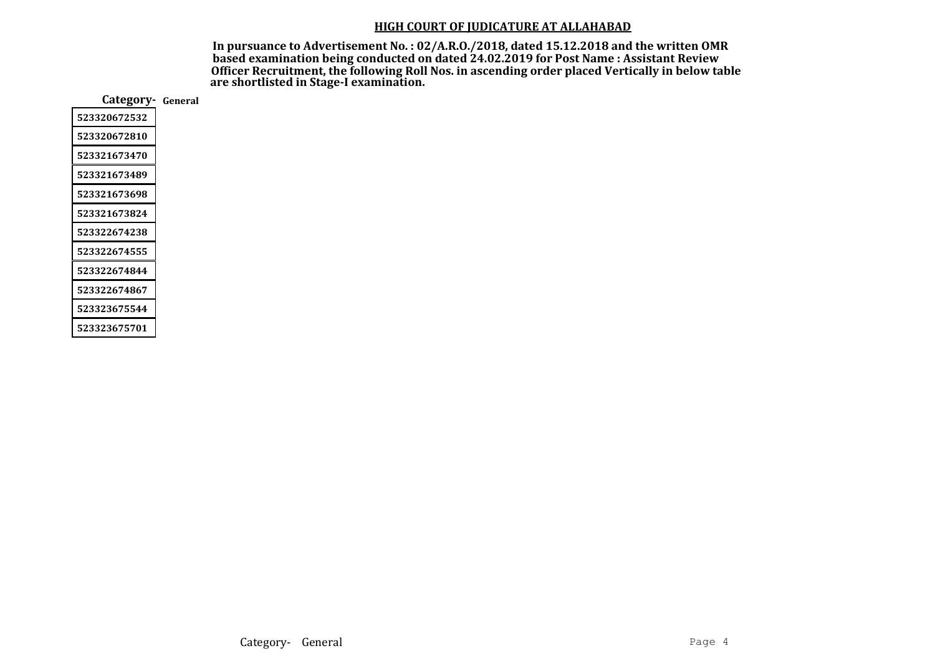| Category-    | General |
|--------------|---------|
| 523320672532 |         |
| 523320672810 |         |
| 523321673470 |         |
| 523321673489 |         |
| 523321673698 |         |
| 523321673824 |         |
| 523322674238 |         |
| 523322674555 |         |
| 523322674844 |         |
| 523322674867 |         |
| 523323675544 |         |
| 523323675701 |         |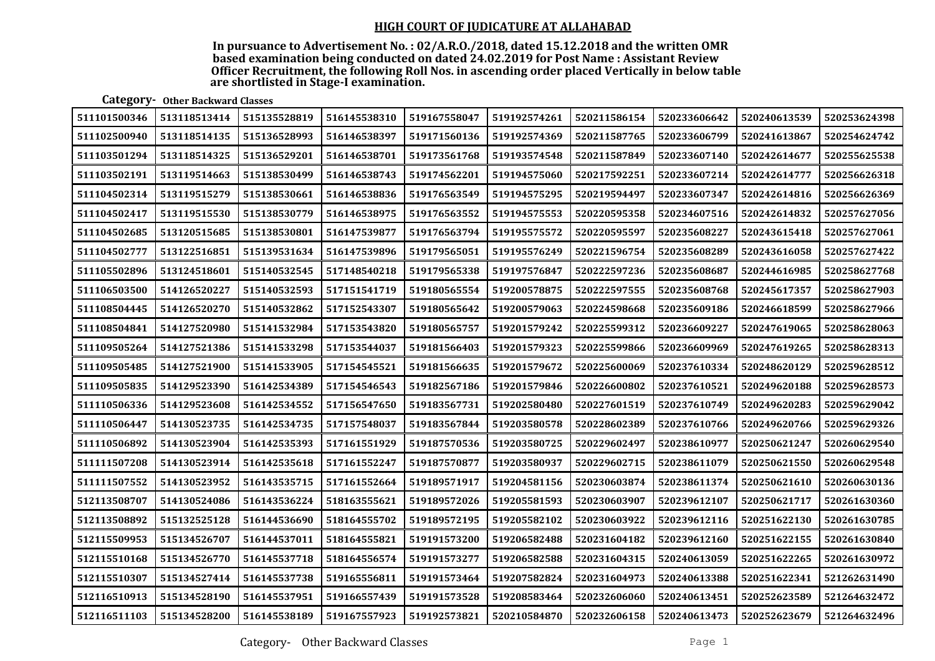In pursuance to Advertisement No. : 02/A.R.O./2018, dated 15.12.2018 and the written OMR based examination being conducted on dated 24.02.2019 for Post Name : Assistant Review Officer Recruitment, the following Roll Nos. in ascending order placed Vertically in below table are shortlisted in Stage-I examination.

# Category- Other Backward Classes

| 511101500346 | 513118513414 | 515135528819 | 516145538310 | 519167558047 | 519192574261 | 520211586154 | 520233606642 | 520240613539 | 520253624398 |
|--------------|--------------|--------------|--------------|--------------|--------------|--------------|--------------|--------------|--------------|
| 511102500940 | 513118514135 | 515136528993 | 516146538397 | 519171560136 | 519192574369 | 520211587765 | 520233606799 | 520241613867 | 520254624742 |
| 511103501294 | 513118514325 | 515136529201 | 516146538701 | 519173561768 | 519193574548 | 520211587849 | 520233607140 | 520242614677 | 520255625538 |
| 511103502191 | 513119514663 | 515138530499 | 516146538743 | 519174562201 | 519194575060 | 520217592251 | 520233607214 | 520242614777 | 520256626318 |
| 511104502314 | 513119515279 | 515138530661 | 516146538836 | 519176563549 | 519194575295 | 520219594497 | 520233607347 | 520242614816 | 520256626369 |
| 511104502417 | 513119515530 | 515138530779 | 516146538975 | 519176563552 | 519194575553 | 520220595358 | 520234607516 | 520242614832 | 520257627056 |
| 511104502685 | 513120515685 | 515138530801 | 516147539877 | 519176563794 | 519195575572 | 520220595597 | 520235608227 | 520243615418 | 520257627061 |
| 511104502777 | 513122516851 | 515139531634 | 516147539896 | 519179565051 | 519195576249 | 520221596754 | 520235608289 | 520243616058 | 520257627422 |
| 511105502896 | 513124518601 | 515140532545 | 517148540218 | 519179565338 | 519197576847 | 520222597236 | 520235608687 | 520244616985 | 520258627768 |
| 511106503500 | 514126520227 | 515140532593 | 517151541719 | 519180565554 | 519200578875 | 520222597555 | 520235608768 | 520245617357 | 520258627903 |
| 511108504445 | 514126520270 | 515140532862 | 517152543307 | 519180565642 | 519200579063 | 520224598668 | 520235609186 | 520246618599 | 520258627966 |
| 511108504841 | 514127520980 | 515141532984 | 517153543820 | 519180565757 | 519201579242 | 520225599312 | 520236609227 | 520247619065 | 520258628063 |
| 511109505264 | 514127521386 | 515141533298 | 517153544037 | 519181566403 | 519201579323 | 520225599866 | 520236609969 | 520247619265 | 520258628313 |
| 511109505485 | 514127521900 | 515141533905 | 517154545521 | 519181566635 | 519201579672 | 520225600069 | 520237610334 | 520248620129 | 520259628512 |
| 511109505835 | 514129523390 | 516142534389 | 517154546543 | 519182567186 | 519201579846 | 520226600802 | 520237610521 | 520249620188 | 520259628573 |
| 511110506336 | 514129523608 | 516142534552 | 517156547650 | 519183567731 | 519202580480 | 520227601519 | 520237610749 | 520249620283 | 520259629042 |
| 511110506447 | 514130523735 | 516142534735 | 517157548037 | 519183567844 | 519203580578 | 520228602389 | 520237610766 | 520249620766 | 520259629326 |
| 511110506892 | 514130523904 | 516142535393 | 517161551929 | 519187570536 | 519203580725 | 520229602497 | 520238610977 | 520250621247 | 520260629540 |
| 511111507208 | 514130523914 | 516142535618 | 517161552247 | 519187570877 | 519203580937 | 520229602715 | 520238611079 | 520250621550 | 520260629548 |
| 511111507552 | 514130523952 | 516143535715 | 517161552664 | 519189571917 | 519204581156 | 520230603874 | 520238611374 | 520250621610 | 520260630136 |
| 512113508707 | 514130524086 | 516143536224 | 518163555621 | 519189572026 | 519205581593 | 520230603907 | 520239612107 | 520250621717 | 520261630360 |
| 512113508892 | 515132525128 | 516144536690 | 518164555702 | 519189572195 | 519205582102 | 520230603922 | 520239612116 | 520251622130 | 520261630785 |
| 512115509953 | 515134526707 | 516144537011 | 518164555821 | 519191573200 | 519206582488 | 520231604182 | 520239612160 | 520251622155 | 520261630840 |
| 512115510168 | 515134526770 | 516145537718 | 518164556574 | 519191573277 | 519206582588 | 520231604315 | 520240613059 | 520251622265 | 520261630972 |
| 512115510307 | 515134527414 | 516145537738 | 519165556811 | 519191573464 | 519207582824 | 520231604973 | 520240613388 | 520251622341 | 521262631490 |
| 512116510913 | 515134528190 | 516145537951 | 519166557439 | 519191573528 | 519208583464 | 520232606060 | 520240613451 | 520252623589 | 521264632472 |
| 512116511103 | 515134528200 | 516145538189 | 519167557923 | 519192573821 | 520210584870 | 520232606158 | 520240613473 | 520252623679 | 521264632496 |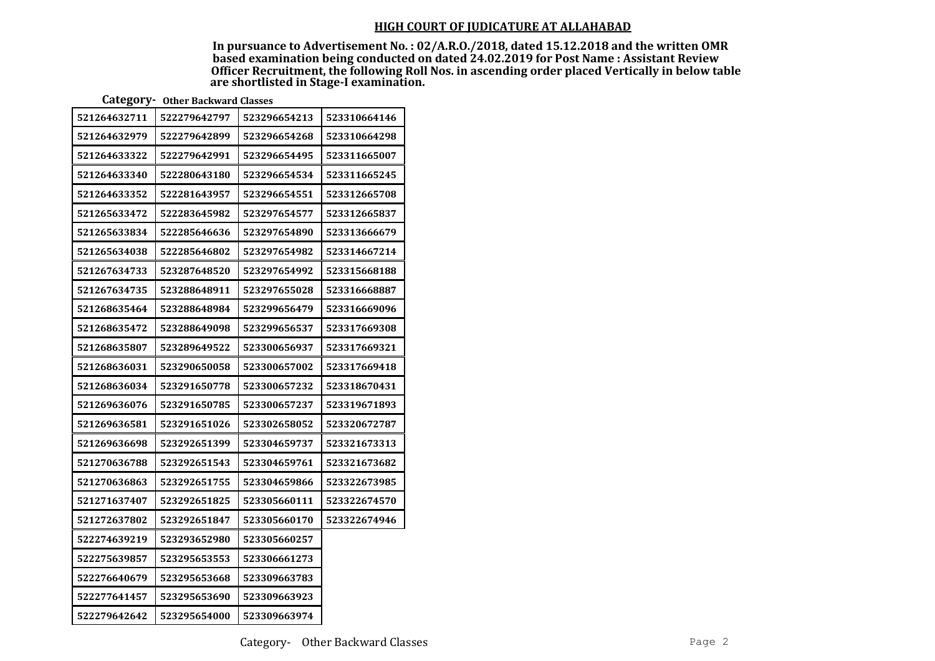In pursuance to Advertisement No. : 02/A.R.O./2018, dated 15.12.2018 and the written OMR based examination being conducted on dated 24.02.2019 for Post Name : Assistant Review Officer Recruitment, the following Roll Nos. in ascending order placed Vertically in below table are shortlisted in Stage-I examination.

Category- Other Backward Classes

| 521264632711 | 522279642797 | 523296654213 | 523310664146 |
|--------------|--------------|--------------|--------------|
| 521264632979 | 522279642899 | 523296654268 | 523310664298 |
| 521264633322 | 522279642991 | 523296654495 | 523311665007 |
| 521264633340 | 522280643180 | 523296654534 | 523311665245 |
| 521264633352 | 522281643957 | 523296654551 | 523312665708 |
| 521265633472 | 522283645982 | 523297654577 | 523312665837 |
| 521265633834 | 522285646636 | 523297654890 | 523313666679 |
| 521265634038 | 522285646802 | 523297654982 | 523314667214 |
| 521267634733 | 523287648520 | 523297654992 | 523315668188 |
| 521267634735 | 523288648911 | 523297655028 | 523316668887 |
| 521268635464 | 523288648984 | 523299656479 | 523316669096 |
| 521268635472 | 523288649098 | 523299656537 | 523317669308 |
| 521268635807 | 523289649522 | 523300656937 | 523317669321 |
| 521268636031 | 523290650058 | 523300657002 | 523317669418 |
| 521268636034 | 523291650778 | 523300657232 | 523318670431 |
| 521269636076 | 523291650785 | 523300657237 | 523319671893 |
| 521269636581 | 523291651026 | 523302658052 | 523320672787 |
| 521269636698 | 523292651399 | 523304659737 | 523321673313 |
| 521270636788 | 523292651543 | 523304659761 | 523321673682 |
| 521270636863 | 523292651755 | 523304659866 | 523322673985 |
| 521271637407 | 523292651825 | 523305660111 | 523322674570 |
| 521272637802 | 523292651847 | 523305660170 | 523322674946 |
| 522274639219 | 523293652980 | 523305660257 |              |
| 522275639857 | 523295653553 | 523306661273 |              |
| 522276640679 | 523295653668 | 523309663783 |              |
| 522277641457 | 523295653690 | 523309663923 |              |
| 522279642642 | 523295654000 | 523309663974 |              |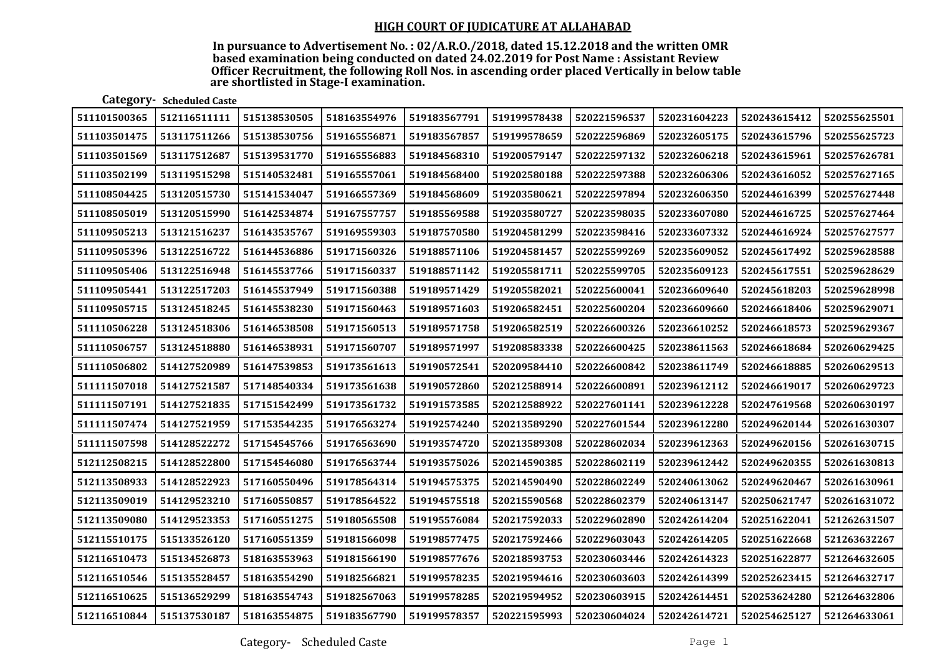In pursuance to Advertisement No. : 02/A.R.O./2018, dated 15.12.2018 and the written OMR based examination being conducted on dated 24.02.2019 for Post Name : Assistant Review Officer Recruitment, the following Roll Nos. in ascending order placed Vertically in below table are shortlisted in Stage-I examination.

Category- Scheduled Caste

| 511101500365 | 512116511111 | 515138530505 | 518163554976 | 519183567791 | 519199578438 | 520221596537 | 520231604223 | 520243615412 | 520255625501 |
|--------------|--------------|--------------|--------------|--------------|--------------|--------------|--------------|--------------|--------------|
| 511103501475 | 513117511266 | 515138530756 | 519165556871 | 519183567857 | 519199578659 | 520222596869 | 520232605175 | 520243615796 | 520255625723 |
| 511103501569 | 513117512687 | 515139531770 | 519165556883 | 519184568310 | 519200579147 | 520222597132 | 520232606218 | 520243615961 | 520257626781 |
| 511103502199 | 513119515298 | 515140532481 | 519165557061 | 519184568400 | 519202580188 | 520222597388 | 520232606306 | 520243616052 | 520257627165 |
| 511108504425 | 513120515730 | 515141534047 | 519166557369 | 519184568609 | 519203580621 | 520222597894 | 520232606350 | 520244616399 | 520257627448 |
| 511108505019 | 513120515990 | 516142534874 | 519167557757 | 519185569588 | 519203580727 | 520223598035 | 520233607080 | 520244616725 | 520257627464 |
| 511109505213 | 513121516237 | 516143535767 | 519169559303 | 519187570580 | 519204581299 | 520223598416 | 520233607332 | 520244616924 | 520257627577 |
| 511109505396 | 513122516722 | 516144536886 | 519171560326 | 519188571106 | 519204581457 | 520225599269 | 520235609052 | 520245617492 | 520259628588 |
| 511109505406 | 513122516948 | 516145537766 | 519171560337 | 519188571142 | 519205581711 | 520225599705 | 520235609123 | 520245617551 | 520259628629 |
| 511109505441 | 513122517203 | 516145537949 | 519171560388 | 519189571429 | 519205582021 | 520225600041 | 520236609640 | 520245618203 | 520259628998 |
| 511109505715 | 513124518245 | 516145538230 | 519171560463 | 519189571603 | 519206582451 | 520225600204 | 520236609660 | 520246618406 | 520259629071 |
| 511110506228 | 513124518306 | 516146538508 | 519171560513 | 519189571758 | 519206582519 | 520226600326 | 520236610252 | 520246618573 | 520259629367 |
| 511110506757 | 513124518880 | 516146538931 | 519171560707 | 519189571997 | 519208583338 | 520226600425 | 520238611563 | 520246618684 | 520260629425 |
| 511110506802 | 514127520989 | 516147539853 | 519173561613 | 519190572541 | 520209584410 | 520226600842 | 520238611749 | 520246618885 | 520260629513 |
| 511111507018 | 514127521587 | 517148540334 | 519173561638 | 519190572860 | 520212588914 | 520226600891 | 520239612112 | 520246619017 | 520260629723 |
| 511111507191 | 514127521835 | 517151542499 | 519173561732 | 519191573585 | 520212588922 | 520227601141 | 520239612228 | 520247619568 | 520260630197 |
| 511111507474 | 514127521959 | 517153544235 | 519176563274 | 519192574240 | 520213589290 | 520227601544 | 520239612280 | 520249620144 | 520261630307 |
| 511111507598 | 514128522272 | 517154545766 | 519176563690 | 519193574720 | 520213589308 | 520228602034 | 520239612363 | 520249620156 | 520261630715 |
| 512112508215 | 514128522800 | 517154546080 | 519176563744 | 519193575026 | 520214590385 | 520228602119 | 520239612442 | 520249620355 | 520261630813 |
| 512113508933 | 514128522923 | 517160550496 | 519178564314 | 519194575375 | 520214590490 | 520228602249 | 520240613062 | 520249620467 | 520261630961 |
| 512113509019 | 514129523210 | 517160550857 | 519178564522 | 519194575518 | 520215590568 | 520228602379 | 520240613147 | 520250621747 | 520261631072 |
| 512113509080 | 514129523353 | 517160551275 | 519180565508 | 519195576084 | 520217592033 | 520229602890 | 520242614204 | 520251622041 | 521262631507 |
| 512115510175 | 515133526120 | 517160551359 | 519181566098 | 519198577475 | 520217592466 | 520229603043 | 520242614205 | 520251622668 | 521263632267 |
| 512116510473 | 515134526873 | 518163553963 | 519181566190 | 519198577676 | 520218593753 | 520230603446 | 520242614323 | 520251622877 | 521264632605 |
| 512116510546 | 515135528457 | 518163554290 | 519182566821 | 519199578235 | 520219594616 | 520230603603 | 520242614399 | 520252623415 | 521264632717 |
| 512116510625 | 515136529299 | 518163554743 | 519182567063 | 519199578285 | 520219594952 | 520230603915 | 520242614451 | 520253624280 | 521264632806 |
| 512116510844 | 515137530187 | 518163554875 | 519183567790 | 519199578357 | 520221595993 | 520230604024 | 520242614721 | 520254625127 | 521264633061 |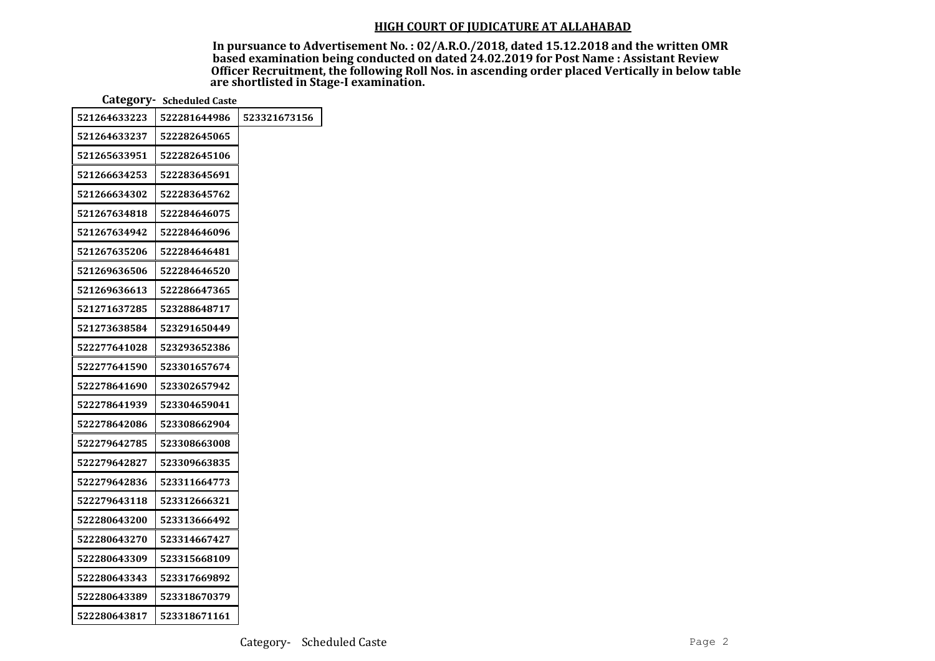| Category - Scheduled Caste |              |              |  |  |  |  |
|----------------------------|--------------|--------------|--|--|--|--|
| 521264633223               | 522281644986 | 523321673156 |  |  |  |  |
| 521264633237               | 522282645065 |              |  |  |  |  |
| 521265633951               | 522282645106 |              |  |  |  |  |
| 521266634253               | 522283645691 |              |  |  |  |  |
| 521266634302               | 522283645762 |              |  |  |  |  |
| 521267634818               | 522284646075 |              |  |  |  |  |
| 521267634942               | 522284646096 |              |  |  |  |  |
| 521267635206               | 522284646481 |              |  |  |  |  |
| 521269636506               | 522284646520 |              |  |  |  |  |
| 521269636613               | 522286647365 |              |  |  |  |  |
| 521271637285               | 523288648717 |              |  |  |  |  |
| 521273638584               | 523291650449 |              |  |  |  |  |
| 522277641028               | 523293652386 |              |  |  |  |  |
| 522277641590               | 523301657674 |              |  |  |  |  |
| 522278641690               | 523302657942 |              |  |  |  |  |
| 522278641939               | 523304659041 |              |  |  |  |  |
| 522278642086               | 523308662904 |              |  |  |  |  |
| 522279642785               | 523308663008 |              |  |  |  |  |
| 522279642827               | 523309663835 |              |  |  |  |  |
| 522279642836               | 523311664773 |              |  |  |  |  |
| 522279643118               | 523312666321 |              |  |  |  |  |
| 522280643200               | 523313666492 |              |  |  |  |  |
| 522280643270               | 523314667427 |              |  |  |  |  |
| 522280643309               | 523315668109 |              |  |  |  |  |
| 522280643343               | 523317669892 |              |  |  |  |  |
| 522280643389               | 523318670379 |              |  |  |  |  |
| 522280643817               | 523318671161 |              |  |  |  |  |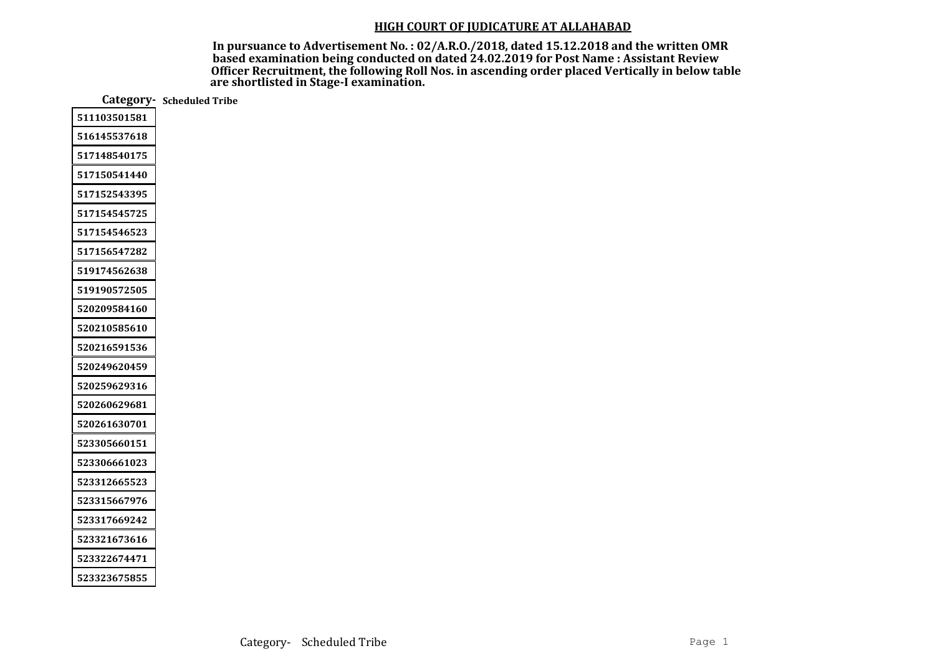|              | Category- Scheduled Tribe |
|--------------|---------------------------|
| 511103501581 |                           |
| 516145537618 |                           |
| 517148540175 |                           |
| 517150541440 |                           |
| 517152543395 |                           |
| 517154545725 |                           |
| 517154546523 |                           |
| 517156547282 |                           |
| 519174562638 |                           |
| 519190572505 |                           |
| 520209584160 |                           |
| 520210585610 |                           |
| 520216591536 |                           |
| 520249620459 |                           |
| 520259629316 |                           |
| 520260629681 |                           |
| 520261630701 |                           |
| 523305660151 |                           |
| 523306661023 |                           |
| 523312665523 |                           |
| 523315667976 |                           |
| 523317669242 |                           |
| 523321673616 |                           |
| 523322674471 |                           |
| 523323675855 |                           |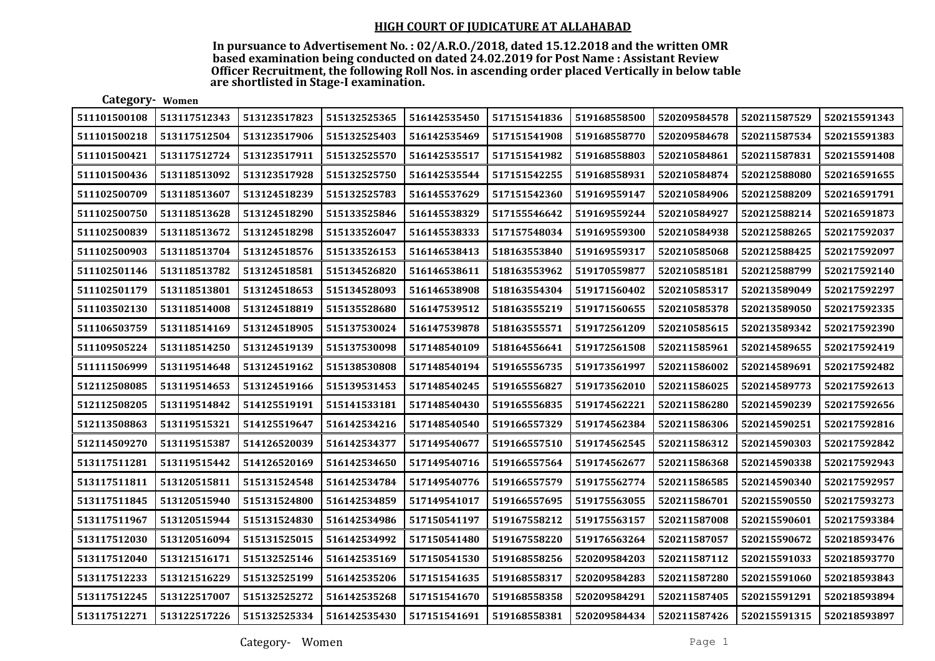In pursuance to Advertisement No. : 02/A.R.O./2018, dated 15.12.2018 and the written OMR based examination being conducted on dated 24.02.2019 for Post Name : Assistant Review Officer Recruitment, the following Roll Nos. in ascending order placed Vertically in below table are shortlisted in Stage-I examination.

| 511101500108 | 513117512343 | 513123517823 | 515132525365 | 516142535450 | 517151541836 | 519168558500 | 520209584578 | 520211587529 | 520215591343 |
|--------------|--------------|--------------|--------------|--------------|--------------|--------------|--------------|--------------|--------------|
| 511101500218 | 513117512504 | 513123517906 | 515132525403 | 516142535469 | 517151541908 | 519168558770 | 520209584678 | 520211587534 | 520215591383 |
| 511101500421 | 513117512724 | 513123517911 | 515132525570 | 516142535517 | 517151541982 | 519168558803 | 520210584861 | 520211587831 | 520215591408 |
| 511101500436 | 513118513092 | 513123517928 | 515132525750 | 516142535544 | 517151542255 | 519168558931 | 520210584874 | 520212588080 | 520216591655 |
| 511102500709 | 513118513607 | 513124518239 | 515132525783 | 516145537629 | 517151542360 | 519169559147 | 520210584906 | 520212588209 | 520216591791 |
| 511102500750 | 513118513628 | 513124518290 | 515133525846 | 516145538329 | 517155546642 | 519169559244 | 520210584927 | 520212588214 | 520216591873 |
| 511102500839 | 513118513672 | 513124518298 | 515133526047 | 516145538333 | 517157548034 | 519169559300 | 520210584938 | 520212588265 | 520217592037 |
| 511102500903 | 513118513704 | 513124518576 | 515133526153 | 516146538413 | 518163553840 | 519169559317 | 520210585068 | 520212588425 | 520217592097 |
| 511102501146 | 513118513782 | 513124518581 | 515134526820 | 516146538611 | 518163553962 | 519170559877 | 520210585181 | 520212588799 | 520217592140 |
| 511102501179 | 513118513801 | 513124518653 | 515134528093 | 516146538908 | 518163554304 | 519171560402 | 520210585317 | 520213589049 | 520217592297 |
| 511103502130 | 513118514008 | 513124518819 | 515135528680 | 516147539512 | 518163555219 | 519171560655 | 520210585378 | 520213589050 | 520217592335 |
| 511106503759 | 513118514169 | 513124518905 | 515137530024 | 516147539878 | 518163555571 | 519172561209 | 520210585615 | 520213589342 | 520217592390 |
| 511109505224 | 513118514250 | 513124519139 | 515137530098 | 517148540109 | 518164556641 | 519172561508 | 520211585961 | 520214589655 | 520217592419 |
| 511111506999 | 513119514648 | 513124519162 | 515138530808 | 517148540194 | 519165556735 | 519173561997 | 520211586002 | 520214589691 | 520217592482 |
| 512112508085 | 513119514653 | 513124519166 | 515139531453 | 517148540245 | 519165556827 | 519173562010 | 520211586025 | 520214589773 | 520217592613 |
| 512112508205 | 513119514842 | 514125519191 | 515141533181 | 517148540430 | 519165556835 | 519174562221 | 520211586280 | 520214590239 | 520217592656 |
| 512113508863 | 513119515321 | 514125519647 | 516142534216 | 517148540540 | 519166557329 | 519174562384 | 520211586306 | 520214590251 | 520217592816 |
| 512114509270 | 513119515387 | 514126520039 | 516142534377 | 517149540677 | 519166557510 | 519174562545 | 520211586312 | 520214590303 | 520217592842 |
| 513117511281 | 513119515442 | 514126520169 | 516142534650 | 517149540716 | 519166557564 | 519174562677 | 520211586368 | 520214590338 | 520217592943 |
| 513117511811 | 513120515811 | 515131524548 | 516142534784 | 517149540776 | 519166557579 | 519175562774 | 520211586585 | 520214590340 | 520217592957 |
| 513117511845 | 513120515940 | 515131524800 | 516142534859 | 517149541017 | 519166557695 | 519175563055 | 520211586701 | 520215590550 | 520217593273 |
| 513117511967 | 513120515944 | 515131524830 | 516142534986 | 517150541197 | 519167558212 | 519175563157 | 520211587008 | 520215590601 | 520217593384 |
| 513117512030 | 513120516094 | 515131525015 | 516142534992 | 517150541480 | 519167558220 | 519176563264 | 520211587057 | 520215590672 | 520218593476 |
| 513117512040 | 513121516171 | 515132525146 | 516142535169 | 517150541530 | 519168558256 | 520209584203 | 520211587112 | 520215591033 | 520218593770 |
| 513117512233 | 513121516229 | 515132525199 | 516142535206 | 517151541635 | 519168558317 | 520209584283 | 520211587280 | 520215591060 | 520218593843 |
| 513117512245 | 513122517007 | 515132525272 | 516142535268 | 517151541670 | 519168558358 | 520209584291 | 520211587405 | 520215591291 | 520218593894 |
| 513117512271 | 513122517226 | 515132525334 | 516142535430 | 517151541691 | 519168558381 | 520209584434 | 520211587426 | 520215591315 | 520218593897 |

Category- Women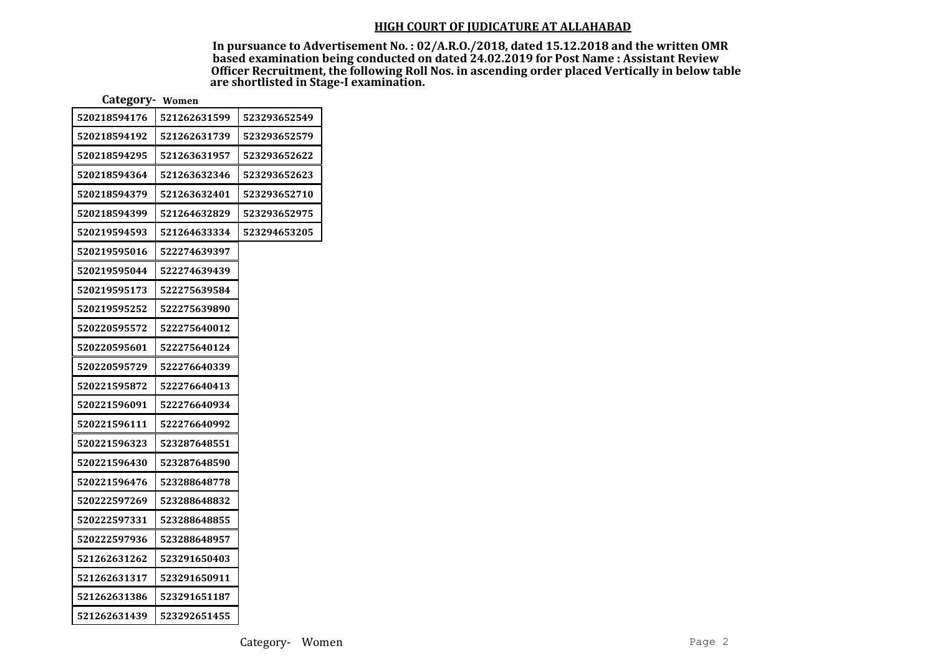| Category- Women |              |              |
|-----------------|--------------|--------------|
| 520218594176    | 521262631599 | 523293652549 |
| 520218594192    | 521262631739 | 523293652579 |
| 520218594295    | 521263631957 | 523293652622 |
| 520218594364    | 521263632346 | 523293652623 |
| 520218594379    | 521263632401 | 523293652710 |
| 520218594399    | 521264632829 | 523293652975 |
| 520219594593    | 521264633334 | 523294653205 |
| 520219595016    | 522274639397 |              |
| 520219595044    | 522274639439 |              |
| 520219595173    | 522275639584 |              |
| 520219595252    | 522275639890 |              |
| 520220595572    | 522275640012 |              |
| 520220595601    | 522275640124 |              |
| 520220595729    | 522276640339 |              |
| 520221595872    | 522276640413 |              |
| 520221596091    | 522276640934 |              |
| 520221596111    | 522276640992 |              |
| 520221596323    | 523287648551 |              |
| 520221596430    | 523287648590 |              |
| 520221596476    | 523288648778 |              |
| 520222597269    | 523288648832 |              |
| 520222597331    | 523288648855 |              |
| 520222597936    | 523288648957 |              |
| 521262631262    | 523291650403 |              |
| 521262631317    | 523291650911 |              |
| 521262631386    | 523291651187 |              |
| 521262631439    | 523292651455 |              |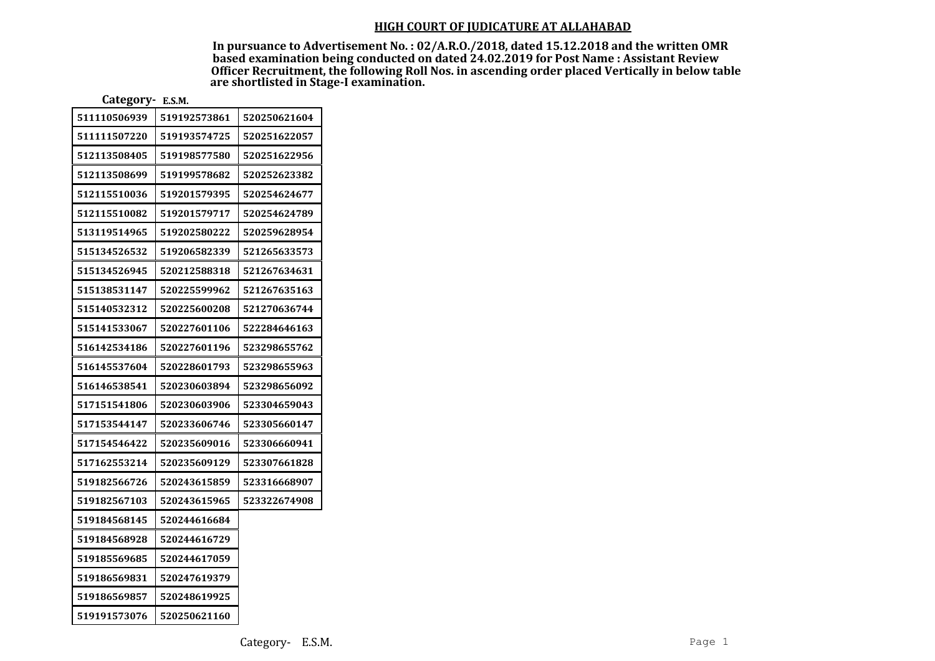| Category- E.S.M. |  |
|------------------|--|
|------------------|--|

| 511110506939 | 519192573861 | 520250621604 |
|--------------|--------------|--------------|
| 511111507220 | 519193574725 | 520251622057 |
| 512113508405 | 519198577580 | 520251622956 |
| 512113508699 | 519199578682 | 520252623382 |
| 512115510036 | 519201579395 | 520254624677 |
| 512115510082 | 519201579717 | 520254624789 |
| 513119514965 | 519202580222 | 520259628954 |
| 515134526532 | 519206582339 | 521265633573 |
| 515134526945 | 520212588318 | 521267634631 |
| 515138531147 | 520225599962 | 521267635163 |
| 515140532312 | 520225600208 | 521270636744 |
| 515141533067 | 520227601106 | 522284646163 |
| 516142534186 | 520227601196 | 523298655762 |
| 516145537604 | 520228601793 | 523298655963 |
| 516146538541 | 520230603894 | 523298656092 |
| 517151541806 | 520230603906 | 523304659043 |
| 517153544147 | 520233606746 | 523305660147 |
| 517154546422 | 520235609016 | 523306660941 |
| 517162553214 | 520235609129 | 523307661828 |
| 519182566726 | 520243615859 | 523316668907 |
| 519182567103 | 520243615965 | 523322674908 |
| 519184568145 | 520244616684 |              |
| 519184568928 | 520244616729 |              |
| 519185569685 | 520244617059 |              |
| 519186569831 | 520247619379 |              |
| 519186569857 | 520248619925 |              |
| 519191573076 | 520250621160 |              |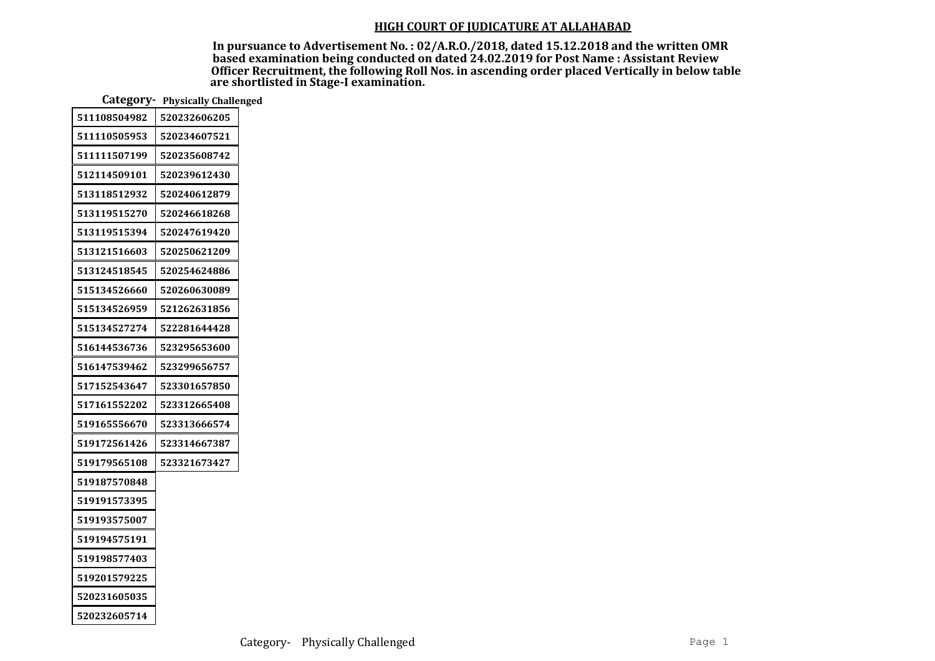|              | Category- Physically Challenged |
|--------------|---------------------------------|
| 511108504982 | 520232606205                    |
| 511110505953 | 520234607521                    |
| 511111507199 | 520235608742                    |
| 512114509101 | 520239612430                    |
| 513118512932 | 520240612879                    |
| 513119515270 | 520246618268                    |
| 513119515394 | 520247619420                    |
| 513121516603 | 520250621209                    |
| 513124518545 | 520254624886                    |
| 515134526660 | 520260630089                    |
| 515134526959 | 521262631856                    |
| 515134527274 | 522281644428                    |
| 516144536736 | 523295653600                    |
| 516147539462 | 523299656757                    |
| 517152543647 | 523301657850                    |
| 517161552202 | 523312665408                    |
| 519165556670 | 523313666574                    |
| 519172561426 | 523314667387                    |
| 519179565108 | 523321673427                    |
| 519187570848 |                                 |
| 519191573395 |                                 |
| 519193575007 |                                 |
| 519194575191 |                                 |
| 519198577403 |                                 |
| 519201579225 |                                 |
| 520231605035 |                                 |
| 520232605714 |                                 |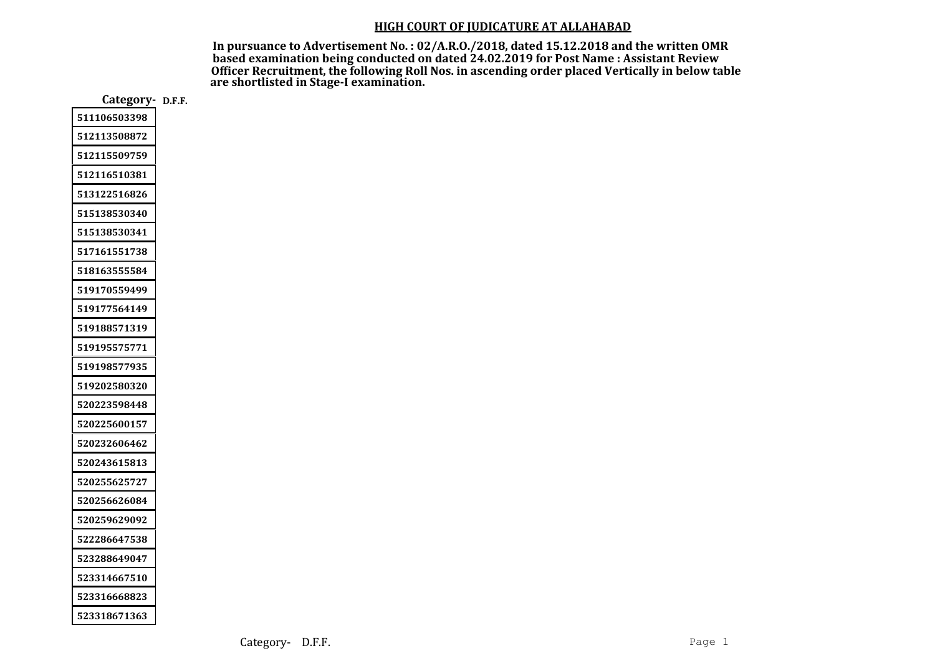In pursuance to Advertisement No. : 02/A.R.O./2018, dated 15.12.2018 and the written OMR based examination being conducted on dated 24.02.2019 for Post Name : Assistant Review Officer Recruitment, the following Roll Nos. in ascending order placed Vertically in below table are shortlisted in Stage-I examination.

Category- D.F.F.

| 511106503398 |
|--------------|
| 512113508872 |
| 512115509759 |
| 512116510381 |
| 513122516826 |
| 515138530340 |
| 515138530341 |
| 517161551738 |
| 518163555584 |
| 519170559499 |
| 519177564149 |
| 519188571319 |
| 519195575771 |
| 519198577935 |
| 519202580320 |
| 520223598448 |
| 520225600157 |
| 520232606462 |
| 520243615813 |
| 520255625727 |
| 520256626084 |
| 520259629092 |
| 522286647538 |
| 523288649047 |
| 523314667510 |
| 523316668823 |
| 523318671363 |